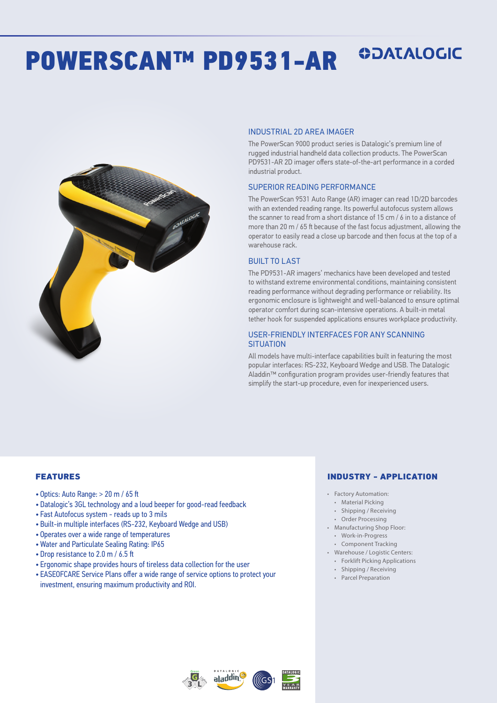# POWERSCAN™ PD9531-AR

#### INDUSTRIAL 2D AREA IMAGER

The PowerScan 9000 product series is Datalogic's premium line of rugged industrial handheld data collection products. The PowerScan PD9531-AR 2D imager offers state-of-the-art performance in a corded industrial product.

**ODATALOGIC** 

#### SUPERIOR READING PERFORMANCE

The PowerScan 9531 Auto Range (AR) imager can read 1D/2D barcodes with an extended reading range. Its powerful autofocus system allows the scanner to read from a short distance of 15 cm / 6 in to a distance of more than 20 m / 65 ft because of the fast focus adjustment, allowing the operator to easily read a close up barcode and then focus at the top of a warehouse rack.

### BUILT TO LAST

The PD9531-AR imagers' mechanics have been developed and tested to withstand extreme environmental conditions, maintaining consistent reading performance without degrading performance or reliability. Its ergonomic enclosure is lightweight and well-balanced to ensure optimal operator comfort during scan-intensive operations. A built-in metal tether hook for suspended applications ensures workplace productivity.

#### USER-FRIENDLY INTERFACES FOR ANY SCANNING **SITUATION**

All models have multi-interface capabilities built in featuring the most popular interfaces: RS-232, Keyboard Wedge and USB. The Datalogic Aladdin™ configuration program provides user-friendly features that simplify the start-up procedure, even for inexperienced users.

#### FEATURES

- Optics: Auto Range: > 20 m / 65 ft
- Datalogic's 3GL technology and a loud beeper for good-read feedback
- Fast Autofocus system reads up to 3 mils
- Built-in multiple interfaces (RS-232, Keyboard Wedge and USB)
- Operates over a wide range of temperatures
- Water and Particulate Sealing Rating: IP65
- Drop resistance to 2.0 m / 6.5 ft
- Ergonomic shape provides hours of tireless data collection for the user
- EASEOFCARE Service Plans offer a wide range of service options to protect your investment, ensuring maximum productivity and ROI.

#### INDUSTRY - APPLICATION

- Factory Automation:
- Material Picking
- Shipping / Receiving
- Order Processing
- Manufacturing Shop Floor: • Work-in-Progress
- Component Tracking
- Warehouse / Logistic Centers: • Forklift Picking Applications
	-
- Shipping / Receiving • Parcel Preparation